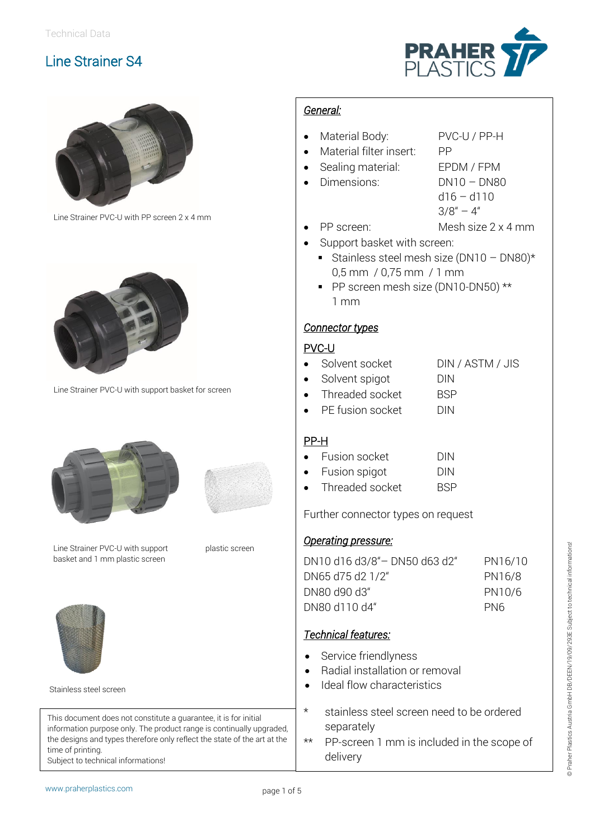



Line Strainer PVC-U with PP screen 2 x 4 mm



Line Strainer PVC-U with support basket for screen





plastic screen

Line Strainer PVC-U with support basket and 1 mm plastic screen



Stainless steel screen

This document does not constitute a guarantee, it is for initial information purpose only. The product range is continually upgraded, the designs and types therefore only reflect the state of the art at the time of printing. Subject to technical informations!

#### *General:*

- Material Body: PVC-U / PP-H
- Material filter insert: PP
	-
	- Sealing material: EPDM / FPM
- Dimensions: DN10 DN80
	- d16 d110
	- $3/8'' 4''$
	- PP screen: Mesh size 2 x 4 mm
- Support basket with screen:
	- Stainless steel mesh size (DN10 DN80)\* 0,5 mm / 0,75 mm / 1 mm
	- PP screen mesh size (DN10-DN50) \*\* 1 mm

### *Connector types*

### PVC-U

- Solvent socket DIN / ASTM / JIS
- Solvent spigot DIN
- Threaded socket BSP PE fusion socket DIN
- 

### PP-H

| Fusion socket | <b>DIN</b> |
|---------------|------------|
|               |            |

|           | Fusion spigot   | DIN        |
|-----------|-----------------|------------|
| $\bullet$ | Threaded socket | <b>BSP</b> |

Further connector types on request

#### *Operating pressure:*

| DN10 d16 d3/8"-DN50 d63 d2" | PN16/10 |
|-----------------------------|---------|
| DN65 d75 d2 1/2"            | PN16/8  |
| <b>DN80 d90 d3"</b>         | PN10/6  |
| DN80 d110 d4"               | PN6     |

### *Technical features:*

- Service friendlyness
- Radial installation or removal
- Ideal flow characteristics
- \* stainless steel screen need to be ordered separately
- \*\* PP-screen 1 mm is included in the scope of delivery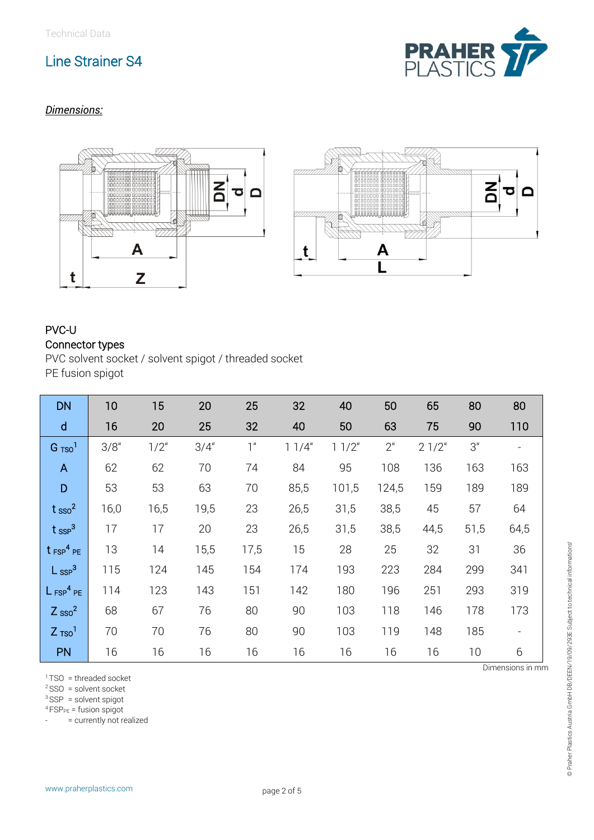

## *Dimensions:*



## PVC-U Connector types

PVC solvent socket / solvent spigot / threaded socket PE fusion spigot

| <b>DN</b>               | 10    | 15      | 20    | 25             | 32    | 40    | 50             | 65    | 80              | 80   |
|-------------------------|-------|---------|-------|----------------|-------|-------|----------------|-------|-----------------|------|
| $\mathsf{d}$            | 16    | 20      | 25    | 32             | 40    | 50    | 63             | 75    | 90              | 110  |
| $G$ $TSO1$              | 3/8'' | $1/2$ " | 3/4'' | 1 <sup>u</sup> | 11/4" | 11/2" | 2 <sup>u</sup> | 21/2" | 3 <sup>''</sup> |      |
| $\mathsf{A}$            | 62    | 62      | 70    | 74             | 84    | 95    | 108            | 136   | 163             | 163  |
| D                       | 53    | 53      | 63    | 70             | 85,5  | 101,5 | 124,5          | 159   | 189             | 189  |
| $t_{\rm sso}^2$         | 16,0  | 16,5    | 19,5  | 23             | 26,5  | 31,5  | 38,5           | 45    | 57              | 64   |
| $t_{\text{SSP}}^3$      | 17    | 17      | 20    | 23             | 26,5  | 31,5  | 38,5           | 44,5  | 51,5            | 64,5 |
| $t$ FSP <sup>4</sup> PE | 13    | 14      | 15,5  | 17,5           | 15    | 28    | 25             | 32    | 31              | 36   |
| $L$ ssp <sup>3</sup>    | 115   | 124     | 145   | 154            | 174   | 193   | 223            | 284   | 299             | 341  |
| $L_{FSP}^4$ PE          | 114   | 123     | 143   | 151            | 142   | 180   | 196            | 251   | 293             | 319  |
| $Z$ sso <sup>2</sup>    | 68    | 67      | 76    | 80             | 90    | 103   | 118            | 146   | 178             | 173  |
| $Z$ Tso <sup>1</sup>    | 70    | 70      | 76    | 80             | 90    | 103   | 119            | 148   | 185             |      |
| <b>PN</b>               | 16    | 16      | 16    | 16             | 16    | 16    | 16             | 16    | 10              | 6    |

 $1$ TSO = threaded socket

 $2$  SSO = solvent socket

 $3$ SSP = solvent spigot

 $4$  FSP<sub>PE</sub> = fusion spigot

- = currently not realized

Dimensions in mm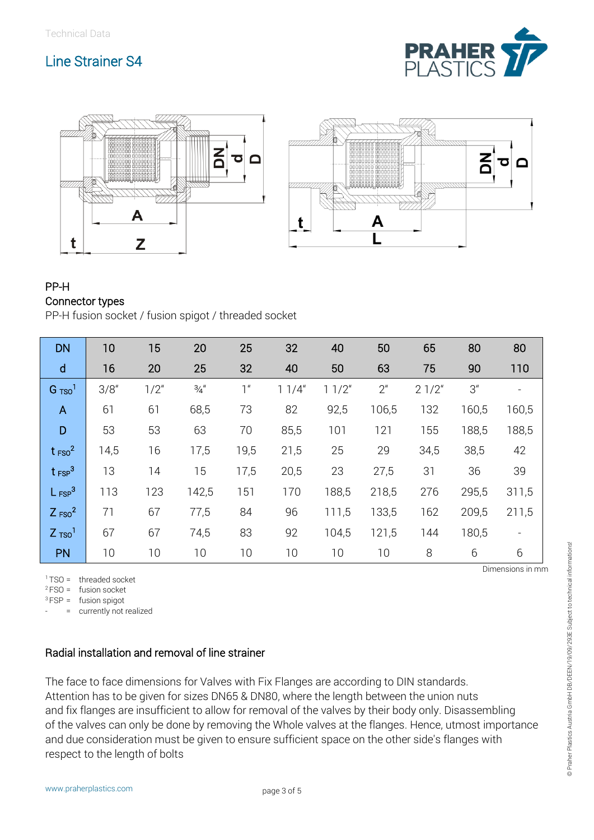





#### PP-H Connector types

PP-H fusion socket / fusion spigot / threaded socket

| <b>DN</b>            | 10    | 15      | 20              | 25             | 32    | 40    | 50             | 65    | 80              | 80    |
|----------------------|-------|---------|-----------------|----------------|-------|-------|----------------|-------|-----------------|-------|
| $\mathsf{d}$         | 16    | 20      | 25              | 32             | 40    | 50    | 63             | 75    | 90              | 110   |
| $G$ $TSO1$           | 3/8'' | $1/2$ " | $\frac{3}{4}$ " | 1 <sup>u</sup> | 11/4" | 11/2" | 2 <sup>u</sup> | 21/2" | 3 <sup>''</sup> |       |
| $\overline{A}$       | 61    | 61      | 68,5            | 73             | 82    | 92,5  | 106,5          | 132   | 160,5           | 160,5 |
| D                    | 53    | 53      | 63              | 70             | 85,5  | 101   | 121            | 155   | 188,5           | 188,5 |
| $t_{FSO}^2$          | 14,5  | 16      | 17,5            | 19,5           | 21,5  | 25    | 29             | 34,5  | 38,5            | 42    |
| $t_{FSP}^3$          | 13    | 14      | 15              | 17,5           | 20,5  | 23    | 27,5           | 31    | 36              | 39    |
| $L_{FSP}^3$          | 113   | 123     | 142,5           | 151            | 170   | 188,5 | 218,5          | 276   | 295,5           | 311,5 |
| $Z$ FSO <sup>2</sup> | 71    | 67      | 77,5            | 84             | 96    | 111,5 | 133,5          | 162   | 209,5           | 211,5 |
| $Z$ Tso <sup>1</sup> | 67    | 67      | 74,5            | 83             | 92    | 104,5 | 121,5          | 144   | 180,5           |       |
| <b>PN</b>            | 10    | 10      | 10              | 10             | 10    | 10    | 10             | 8     | 6               | 6     |

 $1$ TSO = threaded socket

 $2FSO = f$ usion socket

 $3$  FSP = fusion spigot

- = currently not realized

### Radial installation and removal of line strainer

The face to face dimensions for Valves with Fix Flanges are according to DIN standards. Attention has to be given for sizes DN65 & DN80, where the length between the union nuts and fix flanges are insufficient to allow for removal of the valves by their body only. Disassembling of the valves can only be done by removing the Whole valves at the flanges. Hence, utmost importance and due consideration must be given to ensure sufficient space on the other side's flanges with respect to the length of bolts

Dimensions in mm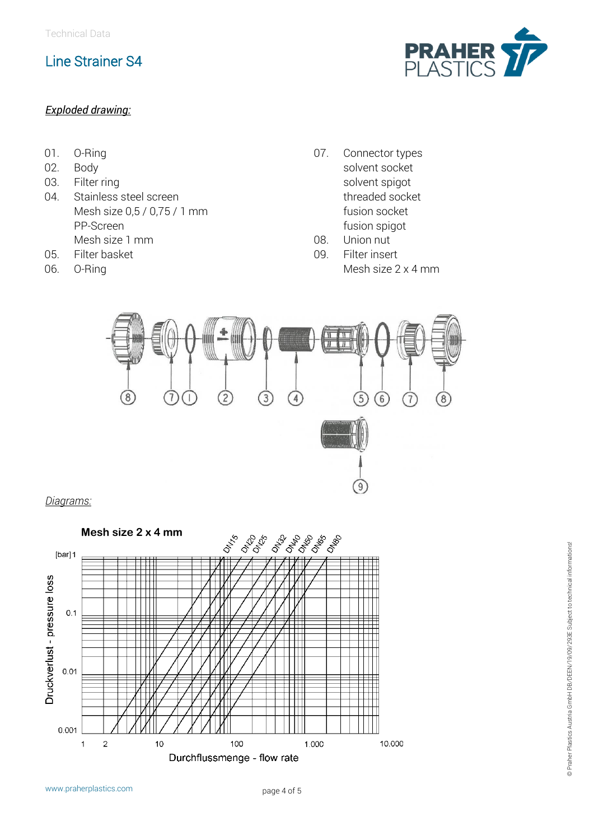#### *Exploded drawing:*

**PRAHER**<br>PLASTICS

- 01. O-Ring
- 02. Body
- 03. Filter ring
- 04. Stainless steel screen Mesh size 0,5 / 0,75 / 1 mm PP-Screen Mesh size 1 mm
- 05. Filter basket
- 06. O-Ring
- 07. Connector types solvent socket solvent spigot threaded socket fusion socket fusion spigot
- 08. Union nut
- 09. Filter insert Mesh size 2 x 4 mm



*Diagrams:*